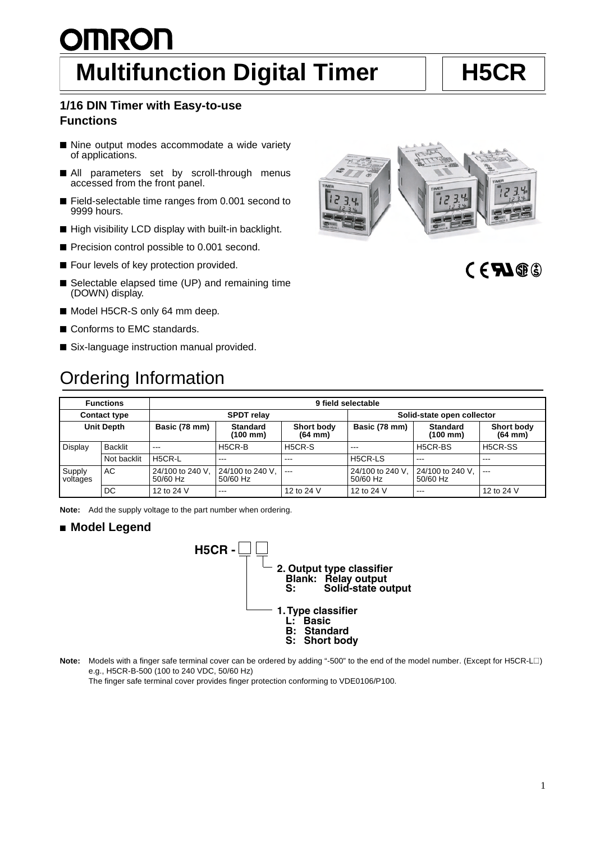# **OMRON Multifunction Digital Timer** | | H5CR

#### **1/16 DIN Timer with Easy-to-use Functions**

- Nine output modes accommodate a wide variety of applications.
- All parameters set by scroll-through menus accessed from the front panel.
- Field-selectable time ranges from 0.001 second to 9999 hours.
- High visibility LCD display with built-in backlight.
- Precision control possible to 0.001 second.
- Four levels of key protection provided.
- Selectable elapsed time (UP) and remaining time (DOWN) display.
- Model H5CR-S only 64 mm deep.
- Conforms to EMC standards.
- Six-language instruction manual provided.

### Ordering Information

| <b>Functions</b>    |             | 9 field selectable           |                              |                                        |                              |                                         |                                   |
|---------------------|-------------|------------------------------|------------------------------|----------------------------------------|------------------------------|-----------------------------------------|-----------------------------------|
| <b>Contact type</b> |             | <b>SPDT</b> relay            |                              |                                        | Solid-state open collector   |                                         |                                   |
| <b>Unit Depth</b>   |             | Basic (78 mm)                | <b>Standard</b><br>(100 mm)  | <b>Short body</b><br>$(64 \text{ mm})$ | Basic (78 mm)                | <b>Standard</b><br>$(100 \, \text{mm})$ | <b>Short body</b><br>$(64$ mm $)$ |
| Display             | Backlit     | $\cdots$                     | H5CR-B                       | H <sub>5</sub> CR-S                    | $- - -$                      | H5CR-BS                                 | H5CR-SS                           |
|                     | Not backlit | H5CR-L                       | $- - -$                      | $- - -$                                | H5CR-LS                      | $- - -$                                 | ---                               |
| Supply<br>voltages  | AC          | 24/100 to 240 V.<br>50/60 Hz | 24/100 to 240 V,<br>50/60 Hz | $---$                                  | 24/100 to 240 V.<br>50/60 Hz | 24/100 to 240 V.<br>50/60 Hz            | $- - -$                           |
|                     | DC          | 12 to 24 V                   | $---$                        | 12 to 24 V                             | 12 to 24 V                   | ---                                     | 12 to 24 V                        |

**Note:** Add the supply voltage to the part number when ordering.

#### ■ **Model Legend**



**Note:** Models with a finger safe terminal cover can be ordered by adding "-500" to the end of the model number. (Except for H5CR-L $\square$ ) e.g., H5CR-B-500 (100 to 240 VDC, 50/60 Hz)

The finger safe terminal cover provides finger protection conforming to VDE0106/P100.



## $CFM@$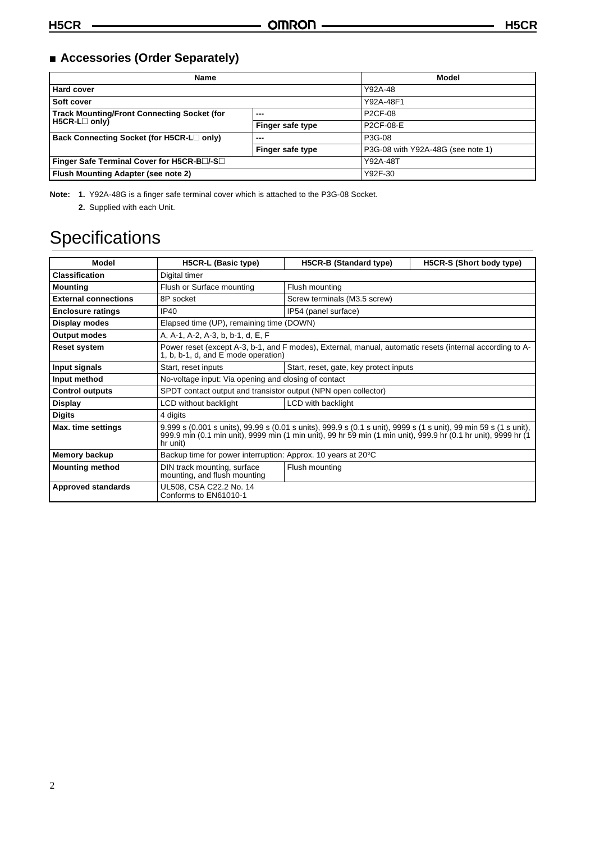### ■ **Accessories (Order Separately)**

| Name                                                  | <b>Model</b>     |                                   |
|-------------------------------------------------------|------------------|-----------------------------------|
| Hard cover                                            |                  | Y92A-48                           |
| Soft cover                                            |                  | Y92A-48F1                         |
| <b>Track Mounting/Front Connecting Socket (for</b>    | $- - -$          | P <sub>2</sub> CF-08              |
| H5CR-L <sub>only</sub>                                | Finger safe type | P2CF-08-E                         |
| Back Connecting Socket (for H5CR-L <sup>nonly</sup> ) | $- - -$          | P3G-08                            |
|                                                       | Finger safe type | P3G-08 with Y92A-48G (see note 1) |
| Finger Safe Terminal Cover for H5CR-Bar-Sall          |                  | Y92A-48T                          |
| Flush Mounting Adapter (see note 2)                   |                  | Y92F-30                           |

**Note: 1.** Y92A-48G is a finger safe terminal cover which is attached to the P3G-08 Socket.

**2.** Supplied with each Unit.

## **Specifications**

| Model                       | H5CR-L (Basic type)                                                                                                                                                                                                                             | H5CR-B (Standard type)       | H5CR-S (Short body type) |  |
|-----------------------------|-------------------------------------------------------------------------------------------------------------------------------------------------------------------------------------------------------------------------------------------------|------------------------------|--------------------------|--|
| <b>Classification</b>       | Digital timer                                                                                                                                                                                                                                   |                              |                          |  |
| <b>Mounting</b>             | Flush or Surface mounting                                                                                                                                                                                                                       | Flush mounting               |                          |  |
| <b>External connections</b> | 8P socket                                                                                                                                                                                                                                       | Screw terminals (M3.5 screw) |                          |  |
| <b>Enclosure ratings</b>    | <b>IP40</b>                                                                                                                                                                                                                                     | IP54 (panel surface)         |                          |  |
| Display modes               | Elapsed time (UP), remaining time (DOWN)                                                                                                                                                                                                        |                              |                          |  |
| <b>Output modes</b>         | A, A-1, A-2, A-3, b, b-1, d, E, F                                                                                                                                                                                                               |                              |                          |  |
| <b>Reset system</b>         | Power reset (except A-3, b-1, and F modes), External, manual, automatic resets (internal according to A-<br>1, b, b-1, d, and E mode operation)                                                                                                 |                              |                          |  |
| Input signals               | Start, reset, gate, key protect inputs<br>Start, reset inputs                                                                                                                                                                                   |                              |                          |  |
| Input method                | No-voltage input: Via opening and closing of contact                                                                                                                                                                                            |                              |                          |  |
| <b>Control outputs</b>      | SPDT contact output and transistor output (NPN open collector)                                                                                                                                                                                  |                              |                          |  |
| <b>Display</b>              | LCD without backlight                                                                                                                                                                                                                           | LCD with backlight           |                          |  |
| <b>Digits</b>               | 4 digits                                                                                                                                                                                                                                        |                              |                          |  |
| Max. time settings          | 9.999 s (0.001 s units), 99.99 s (0.01 s units), 999.9 s (0.1 s unit), 9999 s (1 s unit), 99 min 59 s (1 s unit),<br>999.9 min (0.1 min unit), 9999 min (1 min unit), 99 hr 59 min (1 min unit), 999.9 hr (0.1 hr unit), 9999 hr (1<br>hr unit) |                              |                          |  |
| <b>Memory backup</b>        | Backup time for power interruption: Approx. 10 years at 20°C                                                                                                                                                                                    |                              |                          |  |
| <b>Mounting method</b>      | DIN track mounting, surface<br>Flush mounting<br>mounting, and flush mounting                                                                                                                                                                   |                              |                          |  |
| <b>Approved standards</b>   | UL508, CSA C22.2 No. 14<br>Conforms to EN61010-1                                                                                                                                                                                                |                              |                          |  |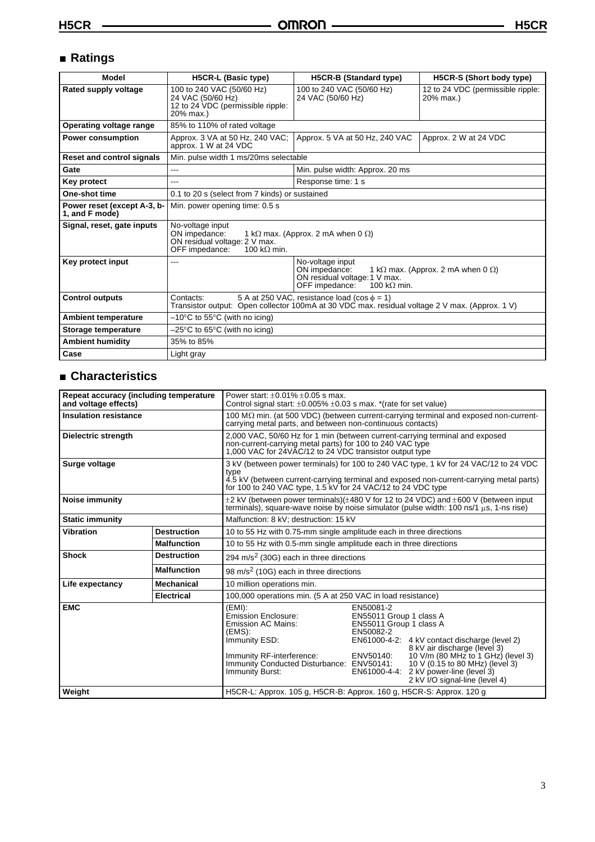### ■ **Ratings**

| <b>Model</b>                                  | <b>H5CR-L (Basic type)</b>                                                                                                                                       | <b>H5CR-B (Standard type)</b>                                                                                                                                    | H5CR-S (Short body type) |  |
|-----------------------------------------------|------------------------------------------------------------------------------------------------------------------------------------------------------------------|------------------------------------------------------------------------------------------------------------------------------------------------------------------|--------------------------|--|
| Rated supply voltage                          | 100 to 240 VAC (50/60 Hz)<br>24 VAC (50/60 Hz)<br>12 to 24 VDC (permissible ripple:<br>20% max.)                                                                 | 100 to 240 VAC (50/60 Hz)<br>24 VAC (50/60 Hz)                                                                                                                   |                          |  |
| Operating voltage range                       | 85% to 110% of rated voltage                                                                                                                                     |                                                                                                                                                                  |                          |  |
| <b>Power consumption</b>                      | Approx. 3 VA at 50 Hz, 240 VAC;<br>approx. 1 W at 24 VDC                                                                                                         | Approx. 5 VA at 50 Hz, 240 VAC                                                                                                                                   | Approx. 2 W at 24 VDC    |  |
| <b>Reset and control signals</b>              | Min. pulse width 1 ms/20ms selectable                                                                                                                            |                                                                                                                                                                  |                          |  |
| Gate                                          | ---                                                                                                                                                              | Min. pulse width: Approx. 20 ms                                                                                                                                  |                          |  |
| <b>Key protect</b>                            | Response time: 1 s<br>---                                                                                                                                        |                                                                                                                                                                  |                          |  |
| One-shot time                                 | 0.1 to 20 s (select from 7 kinds) or sustained                                                                                                                   |                                                                                                                                                                  |                          |  |
| Power reset (except A-3, b-<br>1, and F mode) | Min. power opening time: 0.5 s                                                                                                                                   |                                                                                                                                                                  |                          |  |
| Signal, reset, gate inputs                    | No-voltage input<br>ON impedance:<br>1 k $\Omega$ max. (Approx. 2 mA when 0 $\Omega$ )<br>ON residual voltage: 2 V max.<br>OFF impedance:<br>100 k $\Omega$ min. |                                                                                                                                                                  |                          |  |
| Key protect input                             |                                                                                                                                                                  | No-voltage input<br>ON impedance:<br>1 k $\Omega$ max. (Approx. 2 mA when 0 $\Omega$ )<br>ON residual voltage: 1 V max.<br>OFF impedance:<br>100 k $\Omega$ min. |                          |  |
| <b>Control outputs</b>                        | 5 A at 250 VAC, resistance load (cos $\phi = 1$ )<br>Contacts:<br>Transistor output: Open collector 100mA at 30 VDC max. residual voltage 2 V max. (Approx. 1 V) |                                                                                                                                                                  |                          |  |
| <b>Ambient temperature</b>                    | $-10^{\circ}$ C to 55 $^{\circ}$ C (with no icing)                                                                                                               |                                                                                                                                                                  |                          |  |
| Storage temperature                           | $-25^{\circ}$ C to 65 $^{\circ}$ C (with no icing)                                                                                                               |                                                                                                                                                                  |                          |  |
| <b>Ambient humidity</b>                       | 35% to 85%                                                                                                                                                       |                                                                                                                                                                  |                          |  |
| Case                                          | Light gray                                                                                                                                                       |                                                                                                                                                                  |                          |  |

### ■ **Characteristics**

| Repeat accuracy (including temperature<br>and voltage effects) |                    | Power start: $+0.01\% +0.05$ s max.<br>Control signal start: $\pm 0.005\% \pm 0.03$ s max. *(rate for set value)                                                                                                                                        |                                                                                                                                                                                                                                                                                                                                    |  |  |
|----------------------------------------------------------------|--------------------|---------------------------------------------------------------------------------------------------------------------------------------------------------------------------------------------------------------------------------------------------------|------------------------------------------------------------------------------------------------------------------------------------------------------------------------------------------------------------------------------------------------------------------------------------------------------------------------------------|--|--|
| <b>Insulation resistance</b>                                   |                    | 100 $M\Omega$ min. (at 500 VDC) (between current-carrying terminal and exposed non-current-<br>carrying metal parts, and between non-continuous contacts)                                                                                               |                                                                                                                                                                                                                                                                                                                                    |  |  |
| <b>Dielectric strength</b>                                     |                    | 2,000 VAC, 50/60 Hz for 1 min (between current-carrying terminal and exposed<br>non-current-carrying metal parts) for 100 to 240 VAC type<br>1,000 VAC for 24VAC/12 to 24 VDC transistor output type                                                    |                                                                                                                                                                                                                                                                                                                                    |  |  |
| Surge voltage                                                  |                    | 3 kV (between power terminals) for 100 to 240 VAC type, 1 kV for 24 VAC/12 to 24 VDC<br>type<br>4.5 kV (between current-carrying terminal and exposed non-current-carrying metal parts)<br>for 100 to 240 VAC type, 1.5 kV for 24 VAC/12 to 24 VDC type |                                                                                                                                                                                                                                                                                                                                    |  |  |
| Noise immunity                                                 |                    |                                                                                                                                                                                                                                                         | $\pm$ 2 kV (between power terminals)( $\pm$ 480 V for 12 to 24 VDC) and $\pm$ 600 V (between input<br>terminals), square-wave noise by noise simulator (pulse width: 100 ns/1 us, 1-ns rise)                                                                                                                                       |  |  |
| <b>Static immunity</b>                                         |                    | Malfunction: 8 kV; destruction: 15 kV                                                                                                                                                                                                                   |                                                                                                                                                                                                                                                                                                                                    |  |  |
| <b>Vibration</b><br><b>Destruction</b>                         |                    | 10 to 55 Hz with 0.75-mm single amplitude each in three directions                                                                                                                                                                                      |                                                                                                                                                                                                                                                                                                                                    |  |  |
| <b>Malfunction</b>                                             |                    | 10 to 55 Hz with 0.5-mm single amplitude each in three directions                                                                                                                                                                                       |                                                                                                                                                                                                                                                                                                                                    |  |  |
| <b>Shock</b>                                                   | <b>Destruction</b> | 294 m/s <sup>2</sup> (30G) each in three directions                                                                                                                                                                                                     |                                                                                                                                                                                                                                                                                                                                    |  |  |
|                                                                | <b>Malfunction</b> | 98 m/s <sup>2</sup> (10G) each in three directions                                                                                                                                                                                                      |                                                                                                                                                                                                                                                                                                                                    |  |  |
| Life expectancy                                                | <b>Mechanical</b>  | 10 million operations min.                                                                                                                                                                                                                              |                                                                                                                                                                                                                                                                                                                                    |  |  |
|                                                                | <b>Electrical</b>  | 100,000 operations min. (5 A at 250 VAC in load resistance)                                                                                                                                                                                             |                                                                                                                                                                                                                                                                                                                                    |  |  |
| <b>EMC</b>                                                     |                    | $(EMI)$ :<br>Emission Enclosure:<br><b>Emission AC Mains:</b><br>$(EMS)$ :<br>Immunity ESD:<br>Immunity RF-interference:<br>Immunity Conducted Disturbance: ENV50141:<br>Immunity Burst:                                                                | EN50081-2<br>EN55011 Group 1 class A<br>EN55011 Group 1 class A<br>EN50082-2<br>EN61000-4-2: 4 kV contact discharge (level 2)<br>8 kV air discharge (level 3)<br>10 V/m (80 MHz to 1 GHz) (level 3)<br>ENV50140:<br>10 V (0.15 to 80 MHz) (level 3)<br>EN61000-4-4:<br>2 kV power-line (level 3)<br>2 kV I/O signal-line (level 4) |  |  |
| Weight                                                         |                    | H5CR-L: Approx. 105 g, H5CR-B: Approx. 160 g, H5CR-S: Approx. 120 g                                                                                                                                                                                     |                                                                                                                                                                                                                                                                                                                                    |  |  |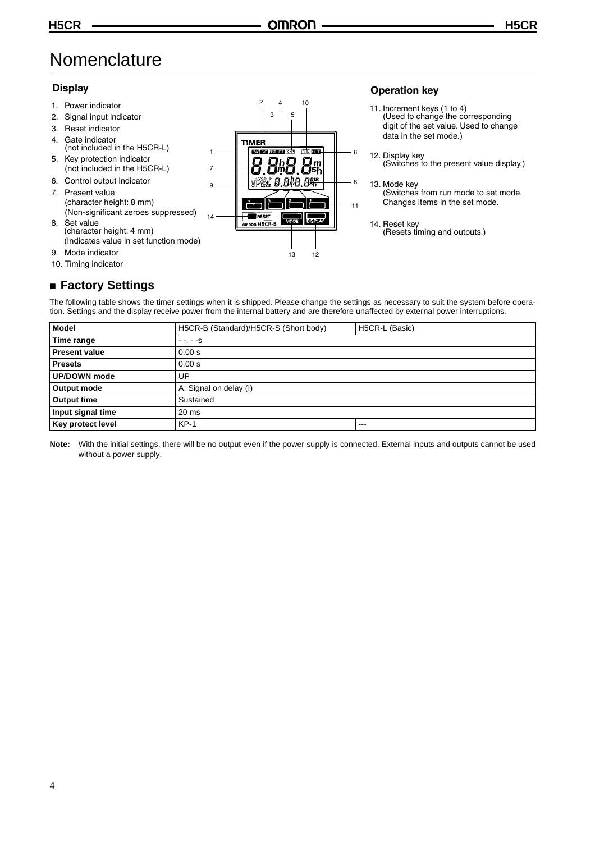### **Nomenclature**

#### **Display Operation key** 2 10 4 1. Power indicator 11. Increment keys (1 to 4) (Used to change the corresponding 3 5 2. Signal input indicator digit of the set value. Used to change 3. Reset indicator data in the set mode.) 4. Gate indicator **TIMEF** (not included in the H5CR-L) rawa karen résulta rada rama 6 1 12. Display key 5. Key protection indicator (Switches to the present value display.) (not included in the H5CR-L) 7 6. Control output indicator  $R_{\rm sm}^{\rm ms}$ BMB 8 8  $\overline{Q}$ 13. Mode key 7. Present value (Switches from run mode to set mode. (character height: 8 mm) Changes items in the set mode.  $-11$ (Non-significant zeroes suppressed) **RESET** 14 8. Set value MODE .<br>1927 A 14. Reset key on H5CF (character height: 4 mm) (Resets timing and outputs.) (Indicates value in set function mode) 9. Mode indicator 13 12 10. Timing indicator ■ **Factory Settings**

The following table shows the timer settings when it is shipped. Please change the settings as necessary to suit the system before operation. Settings and the display receive power from the internal battery and are therefore unaffected by external power interruptions.

| <b>Model</b>               | H5CR-B (Standard)/H5CR-S (Short body) | H5CR-L (Basic) |  |  |
|----------------------------|---------------------------------------|----------------|--|--|
| Time range                 | $- - - - S$                           |                |  |  |
| <b>Present value</b>       | 0.00 s                                |                |  |  |
| <b>Presets</b>             | 0.00 s                                |                |  |  |
| <b>UP/DOWN</b> mode        | UP                                    |                |  |  |
| Output mode                | A: Signal on delay (I)                |                |  |  |
| Output time                | Sustained                             |                |  |  |
| Input signal time<br>20 ms |                                       |                |  |  |
| <b>Key protect level</b>   | $KP-1$                                | $-- -$         |  |  |

**Note:** With the initial settings, there will be no output even if the power supply is connected. External inputs and outputs cannot be used without a power supply.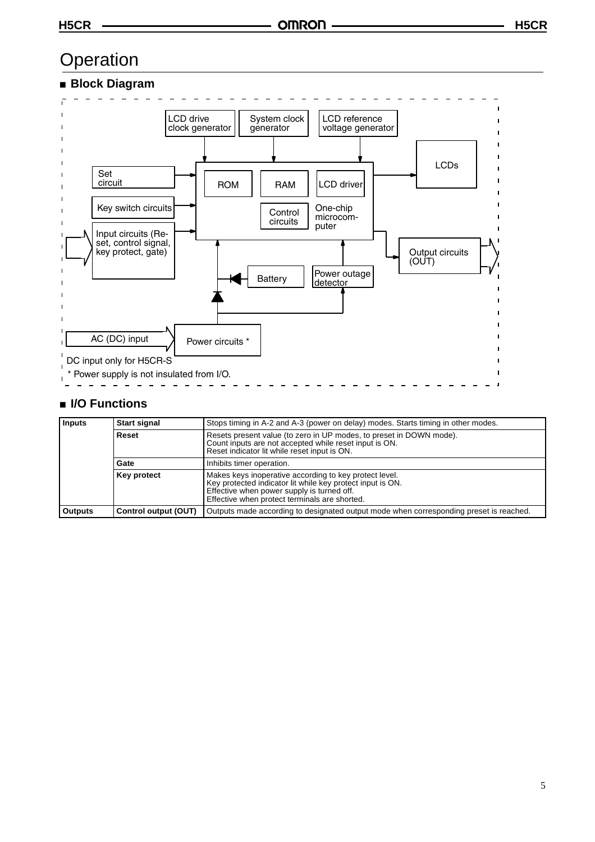### **Operation**

#### ■ **Block Diagram**



#### ■ **I/O Functions**

| Inputs         | <b>Start signal</b>  | Stops timing in A-2 and A-3 (power on delay) modes. Starts timing in other modes.                                                                                                                                   |  |
|----------------|----------------------|---------------------------------------------------------------------------------------------------------------------------------------------------------------------------------------------------------------------|--|
|                | Reset                | Resets present value (to zero in UP modes, to preset in DOWN mode).<br>Count inputs are not accepted while reset input is ON.<br>Reset indicator lit while reset input is ON.                                       |  |
| Gate           |                      | Inhibits timer operation.                                                                                                                                                                                           |  |
|                | Key protect          | Makes keys inoperative according to key protect level.<br>Key protected indicator lit while key protect input is ON.<br>Effective when power supply is turned off.<br>Effective when protect terminals are shorted. |  |
| <b>Outputs</b> | Control output (OUT) | Outputs made according to designated output mode when corresponding preset is reached.                                                                                                                              |  |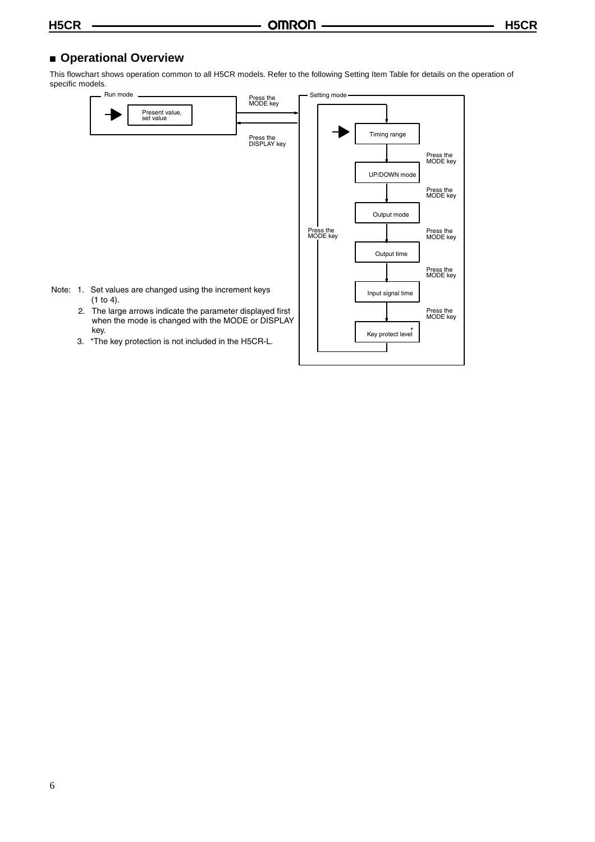#### ■ **Operational Overview**

This flowchart shows operation common to all H5CR models. Refer to the following Setting Item Table for details on the operation of specific models.

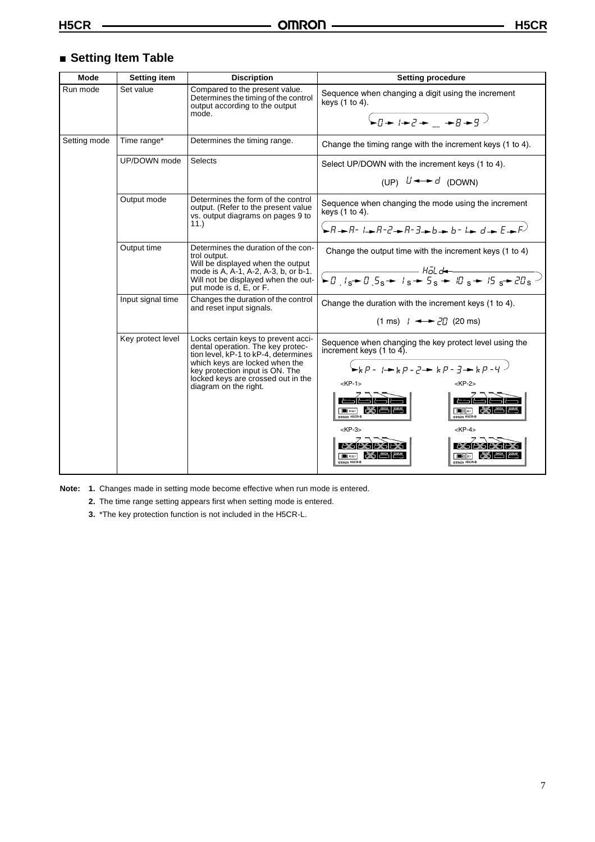#### ■ **Setting Item Table**

| Mode         | <b>Setting item</b>                                                                                                                              | <b>Discription</b>                                                                                                                                                                                                                                   | <b>Setting procedure</b>                                                                                                                                                                                                                                                                                                                                                                                                               |  |
|--------------|--------------------------------------------------------------------------------------------------------------------------------------------------|------------------------------------------------------------------------------------------------------------------------------------------------------------------------------------------------------------------------------------------------------|----------------------------------------------------------------------------------------------------------------------------------------------------------------------------------------------------------------------------------------------------------------------------------------------------------------------------------------------------------------------------------------------------------------------------------------|--|
| Run mode     | Set value<br>Compared to the present value.<br>Determines the timing of the control<br>keys (1 to 4).<br>output according to the output<br>mode. |                                                                                                                                                                                                                                                      | Sequence when changing a digit using the increment<br>$\leftarrow$ $q \rightarrow$ $\leftarrow$ $q \rightarrow$ $q \rightarrow$ $q$                                                                                                                                                                                                                                                                                                    |  |
| Setting mode | Time range*                                                                                                                                      | Determines the timing range.                                                                                                                                                                                                                         | Change the timing range with the increment keys (1 to 4).                                                                                                                                                                                                                                                                                                                                                                              |  |
|              | UP/DOWN mode                                                                                                                                     | Selects                                                                                                                                                                                                                                              | Select UP/DOWN with the increment keys (1 to 4).<br>(UP) $U \rightarrow d$ (DOWN)                                                                                                                                                                                                                                                                                                                                                      |  |
|              | Output mode                                                                                                                                      | Determines the form of the control<br>output. (Refer to the present value<br>vs. output diagrams on pages 9 to<br>11.)                                                                                                                               | Sequence when changing the mode using the increment<br>keys $(1 to 4)$ .                                                                                                                                                                                                                                                                                                                                                               |  |
|              | Output time                                                                                                                                      | Determines the duration of the con-<br>trol output.<br>Will be displayed when the output<br>mode is A, A-1, A-2, A-3, b, or b-1.<br>Will not be displayed when the out-<br>put mode is d, E, or F.                                                   | Change the output time with the increment keys (1 to 4)                                                                                                                                                                                                                                                                                                                                                                                |  |
|              | Input signal time                                                                                                                                | Changes the duration of the control<br>and reset input signals.                                                                                                                                                                                      | Change the duration with the increment keys (1 to 4).<br>$(1 \text{ ms})$ $\rightarrow$ $\rightarrow$ $\frac{27}{10}$ (20 ms)                                                                                                                                                                                                                                                                                                          |  |
|              | Key protect level                                                                                                                                | Locks certain keys to prevent acci-<br>dental operation. The key protec-<br>tion level, kP-1 to kP-4, determines<br>which keys are locked when the<br>key protection input is ON. The<br>locked keys are crossed out in the<br>diagram on the right. | Sequence when changing the key protect level using the<br>increment keys $(1 \text{ to } 4)$ .<br>$\rightarrow$ kp - $\rightarrow$ kp - $P \rightarrow$ kp - $P \rightarrow$ kp - 4 $\rightarrow$<br>$KP-1$<br>$<$ KP-2><br>$\blacksquare$<br>$\blacksquare$ $\blacksquare$<br>OTRROD H5CR-E<br>OTRINOR HSCR-B<br>$<$ KP-3><br>$<$ KP-4><br>exar<br>as K<br>$\blacksquare$ $\omega$<br>and musco<br>OTRINOTI HSCR-B<br>OTRINOTI HSCR-B |  |

**Note: 1.** Changes made in setting mode become effective when run mode is entered.

**2.** The time range setting appears first when setting mode is entered.

**3.** \*The key protection function is not included in the H5CR-L.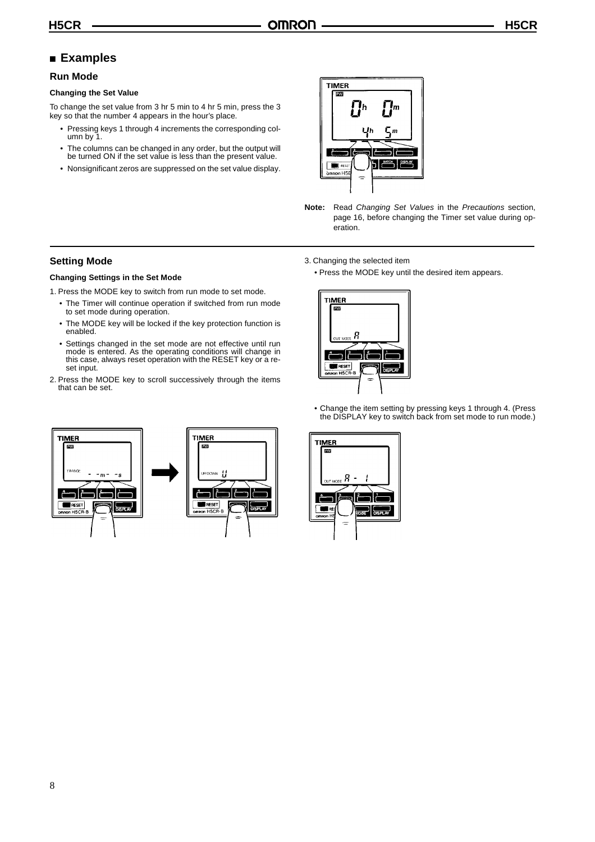#### ■ **Examples**

#### **Run Mode**

#### **Changing the Set Value**

To change the set value from 3 hr 5 min to 4 hr 5 min, press the 3 key so that the number 4 appears in the hour's place.

- Pressing keys 1 through 4 increments the corresponding column by 1.
- The columns can be changed in any order, but the output will be turned ON if the set value is less than the present value.
- Nonsignificant zeros are suppressed on the set value display.



**Note:** Read *Changing Set Values* in the *Precautions* section, [page 16](#page-15-0), before changing the Timer set value during operation.

3. Changing the selected item

• Press the MODE key until the desired item appears.

### **Changing Settings in the Set Mode**

**Setting Mode**

1. Press the MODE key to switch from run mode to set mode.

- The Timer will continue operation if switched from run mode to set mode during operation.
- The MODE key will be locked if the key protection function is enabled.
- Settings changed in the set mode are not effective until run mode is entered. As the operating conditions will change in this case, always reset operation with the RESET key or a reset input.
- 2. Press the MODE key to scroll successively through the items that can be set.



• Change the item setting by pressing keys 1 through 4. (Press the DISPLAY key to switch back from set mode to run mode.)



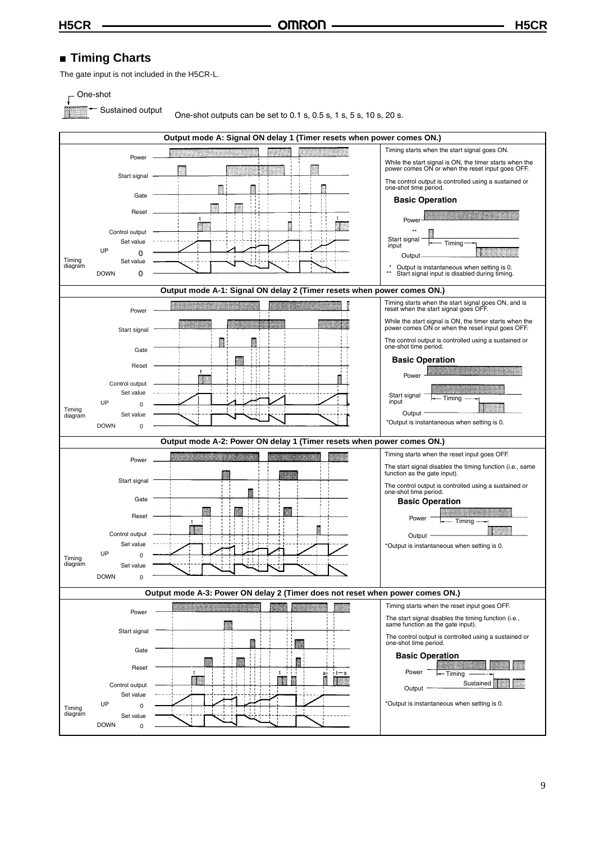**H5CR H5CR**

#### ■ **Timing Charts**

The gate input is not included in the H5CR-L.

#### One-shot

Sustained output

One-shot outputs can be set to 0.1 s, 0.5 s, 1 s, 5 s, 10 s, 20 s.

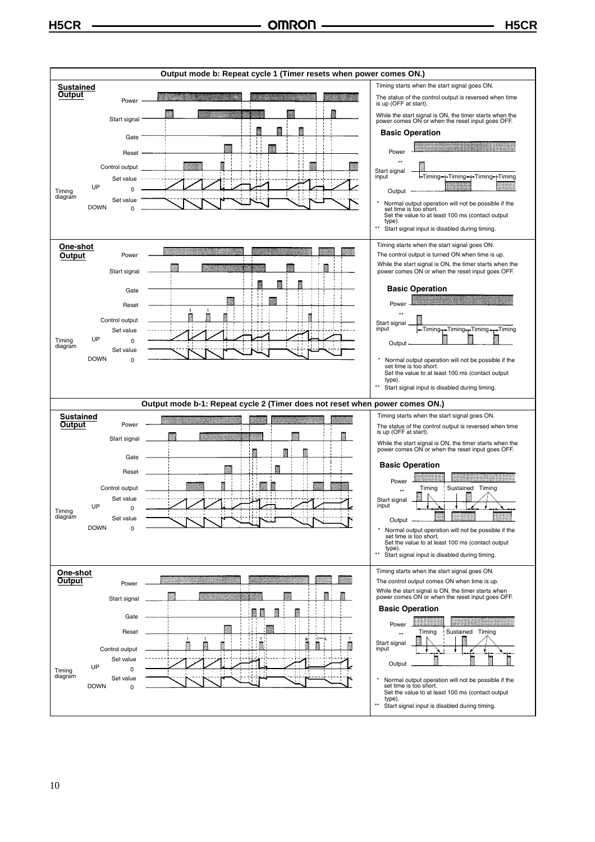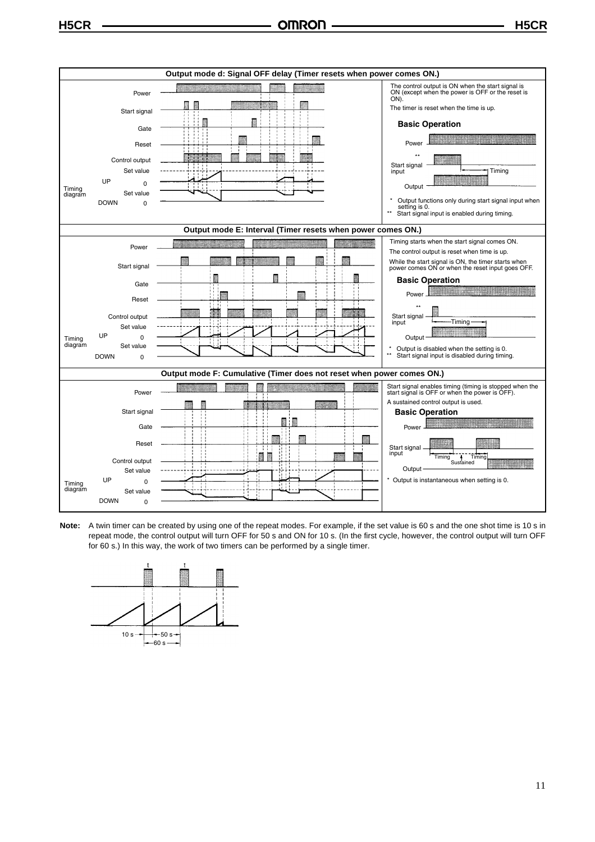

**Note:** A twin timer can be created by using one of the repeat modes. For example, if the set value is 60 s and the one shot time is 10 s in repeat mode, the control output will turn OFF for 50 s and ON for 10 s. (In the first cycle, however, the control output will turn OFF for 60 s.) In this way, the work of two timers can be performed by a single timer.

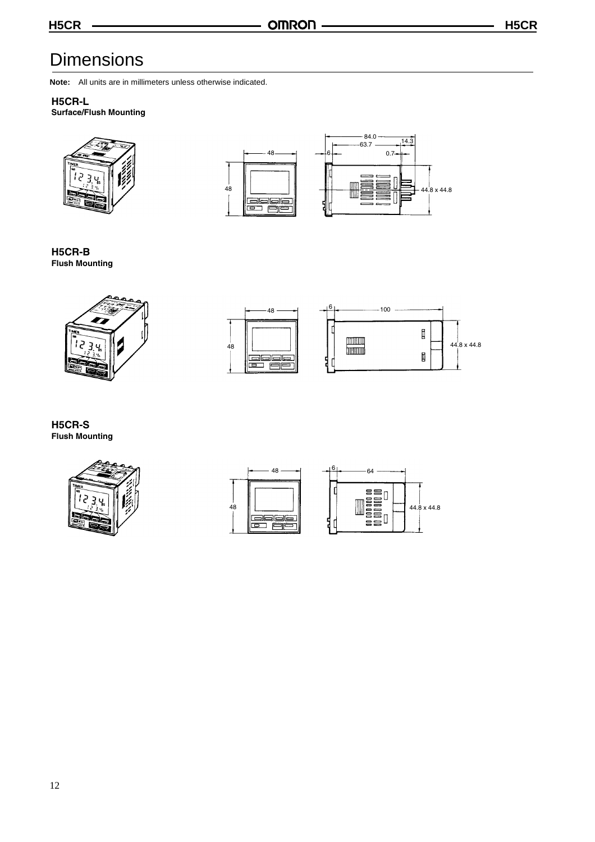### **Dimensions**

**Note:** All units are in millimeters unless otherwise indicated.

#### **H5CR-L**

#### **Surface/Flush Mounting**







**H5CR-B Flush Mounting**





**H5CR-S Flush Mounting**



|    | 48<br>-             | 6 |
|----|---------------------|---|
| 48 | <u>raase</u><br>صات |   |

| 6 | 64                    |             |
|---|-----------------------|-------------|
|   | 음음r<br>들을<br>들음<br>88 | 44.8 x 44.8 |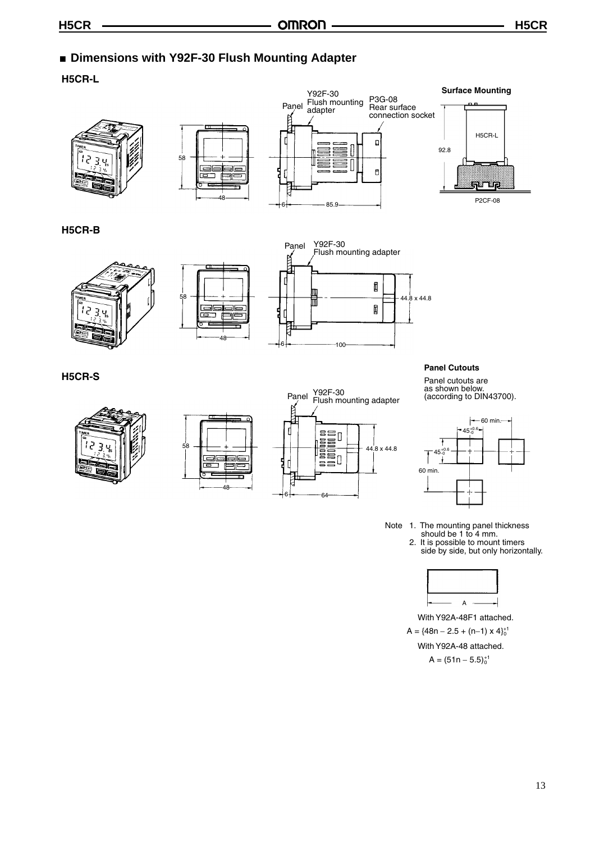#### ■ **Dimensions with Y92F-30 Flush Mounting Adapter**

**H5CR-L**









#### **H5CR-B**





48

اصصاص

ਕਾ 虍 ∃E 5

58



#### **Panel Cutouts**

Panel cutouts are as shown below. (according to DIN43700).



Note 1. The mounting panel thickness should be 1 to 4 mm. 2. It is possible to mount timers side by side, but only horizontally.



With Y92A-48F1 attached.

h Y92A-48F1 att<br>8n – 2.5 + (n–1)<br>h Y92A-48 attacl<br>A = (51n – 5.5) $_0^{+1}$ With Y92A-48 attached.

**H5CR-S**



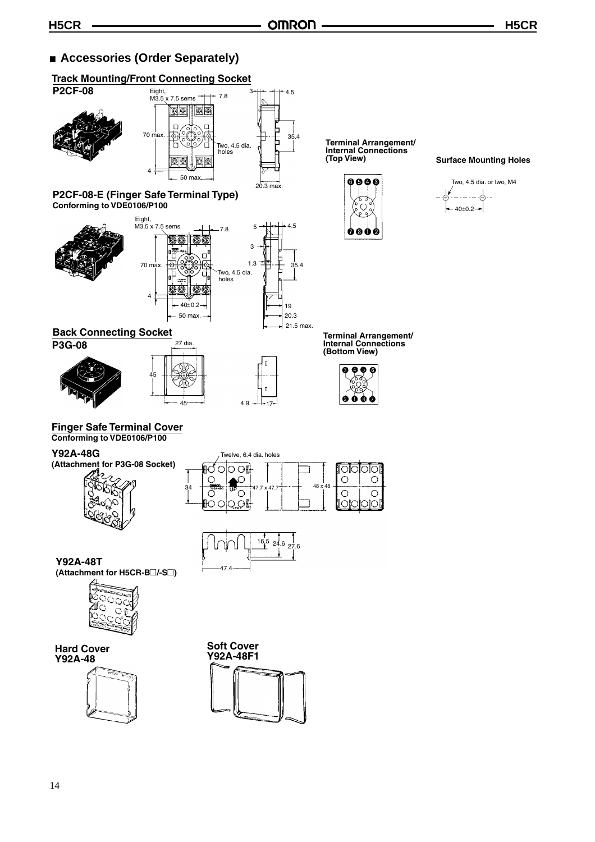#### ■ **Accessories (Order Separately)**

#### **Track Mounting/Front Connecting Socket**



**P3G-08**







**Terminal Arrangement/ Internal Connections** 



**Surface Mounting Holes** 

Two, 4.5 dia. or two, M4 – - – ⊹⊕ - -40±0.2

**Terminal Arrangement/ Internal Connections (Bottom View)**



**Finger Safe Terminal Cover Conforming to VDE0106/P100**

#### **Y92A-48G**

**(Attachment for P3G-08 Socket)**







**Y92A-48T (Attachment for H5CR-B**@**/-S**@**)**



**Hard Cover Y92A-48**



**Soft Cover Y92A-48F1**

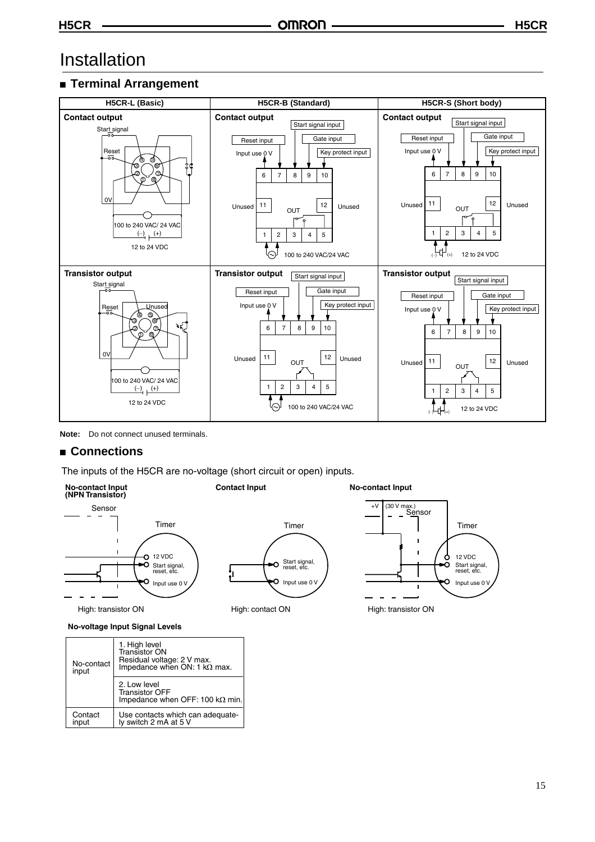### Installation

#### ■ **Terminal Arrangement**





#### ■ **Connections**

The inputs of the H5CR are no-voltage (short circuit or open) inputs.

**No-contact Input (NPN Transistor)**



High: transistor ON



**Contact Input Contact Input** 



**No-voltage Input Signal Levels**

| No-contact<br>input | 1. High level<br>Transistor ON<br>Residual voltage: 2 V max.<br>Impedance when ON: 1 $k\Omega$ max. |  |  |
|---------------------|-----------------------------------------------------------------------------------------------------|--|--|
|                     | 2. Low level<br><b>Transistor OFF</b><br>Impedance when OFF: 100 $k\Omega$ min.                     |  |  |
| Contact<br>input    | Use contacts which can adequate-<br>ly switch 2 mA at 5 V                                           |  |  |